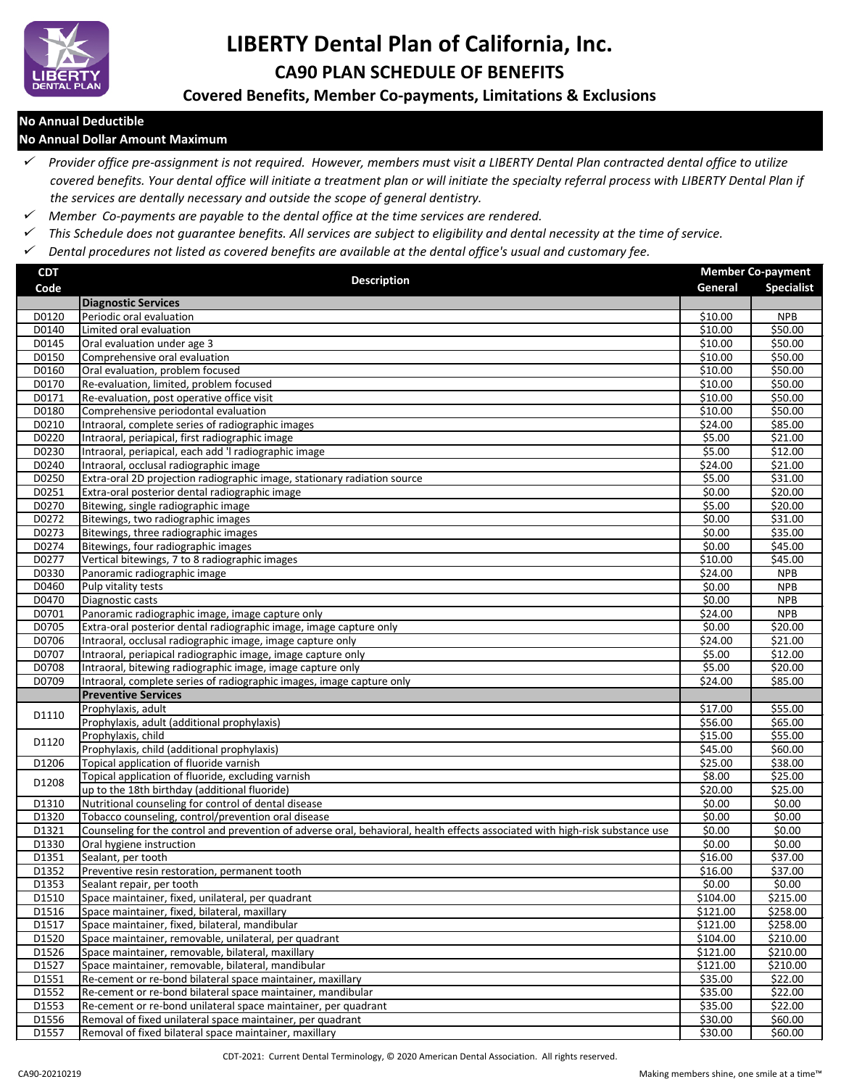

# **LIBERTY Dental Plan of California, Inc. CA90 PLAN SCHEDULE OF BENEFITS**

## **Covered Benefits, Member Co-payments, Limitations & Exclusions**

#### **No Annual Deductible**

#### **No Annual Dollar Amount Maximum**

 *Provider office pre-assignment is not required. However, members must visit a LIBERTY Dental Plan contracted dental office to utilize covered benefits. Your dental office will initiate a treatment plan or will initiate the specialty referral process with LIBERTY Dental Plan if the services are dentally necessary and outside the scope of general dentistry.*

- *Member Co-payments are payable to the dental office at the time services are rendered.*
- *This Schedule does not guarantee benefits. All services are subject to eligibility and dental necessity at the time of service.*
- *Dental procedures not listed as covered benefits are available at the dental office's usual and customary fee.*

| <b>CDT</b> | <b>Description</b>                                                                                                            |                     | <b>Member Co-payment</b> |  |
|------------|-------------------------------------------------------------------------------------------------------------------------------|---------------------|--------------------------|--|
| Code       |                                                                                                                               | General             | <b>Specialist</b>        |  |
|            | <b>Diagnostic Services</b>                                                                                                    |                     |                          |  |
| D0120      | Periodic oral evaluation                                                                                                      | \$10.00             | <b>NPB</b>               |  |
| D0140      | Limited oral evaluation                                                                                                       | $\overline{510.00}$ | \$50.00                  |  |
| D0145      | Oral evaluation under age 3                                                                                                   | \$10.00             | \$50.00                  |  |
| D0150      | Comprehensive oral evaluation                                                                                                 | \$10.00             | \$50.00                  |  |
| D0160      | Oral evaluation, problem focused                                                                                              | $\overline{$}10.00$ | \$50.00                  |  |
| D0170      | Re-evaluation, limited, problem focused                                                                                       | $\overline{$}10.00$ | \$50.00                  |  |
| D0171      | Re-evaluation, post operative office visit                                                                                    | \$10.00             | \$50.00                  |  |
| D0180      | Comprehensive periodontal evaluation                                                                                          | \$10.00             | \$50.00                  |  |
| D0210      | Intraoral, complete series of radiographic images                                                                             | \$24.00             | \$85.00                  |  |
| D0220      | Intraoral, periapical, first radiographic image                                                                               | \$5.00              | \$21.00                  |  |
| D0230      | Intraoral, periapical, each add 'I radiographic image                                                                         | \$5.00              | \$12.00                  |  |
| D0240      | Intraoral, occlusal radiographic image                                                                                        | \$24.00             | \$21.00                  |  |
| D0250      | Extra-oral 2D projection radiographic image, stationary radiation source                                                      | \$5.00              | \$31.00                  |  |
| D0251      | Extra-oral posterior dental radiographic image                                                                                | \$0.00              | \$20.00                  |  |
| D0270      | Bitewing, single radiographic image                                                                                           | \$5.00              | \$20.00                  |  |
| D0272      | Bitewings, two radiographic images                                                                                            | \$0.00              | \$31.00                  |  |
| D0273      | Bitewings, three radiographic images                                                                                          | \$0.00              | \$35.00                  |  |
| D0274      | Bitewings, four radiographic images                                                                                           | \$0.00              | \$45.00                  |  |
| D0277      | Vertical bitewings, 7 to 8 radiographic images                                                                                | \$10.00             | \$45.00                  |  |
| D0330      | Panoramic radiographic image                                                                                                  | \$24.00             | <b>NPB</b>               |  |
| D0460      | Pulp vitality tests                                                                                                           | \$0.00              | <b>NPB</b>               |  |
| D0470      | Diagnostic casts                                                                                                              | \$0.00              | <b>NPB</b>               |  |
| D0701      | Panoramic radiographic image, image capture only                                                                              | \$24.00             | <b>NPB</b>               |  |
| D0705      | Extra-oral posterior dental radiographic image, image capture only                                                            | \$0.00              | \$20.00                  |  |
| D0706      | Intraoral, occlusal radiographic image, image capture only                                                                    | \$24.00             | \$21.00                  |  |
| D0707      | Intraoral, periapical radiographic image, image capture only                                                                  | \$5.00              | \$12.00                  |  |
| D0708      | Intraoral, bitewing radiographic image, image capture only                                                                    | \$5.00              | \$20.00                  |  |
| D0709      | Intraoral, complete series of radiographic images, image capture only                                                         | \$24.00             | \$85.00                  |  |
|            | <b>Preventive Services</b>                                                                                                    |                     |                          |  |
| D1110      | Prophylaxis, adult                                                                                                            | \$17.00             | \$55.00                  |  |
|            | Prophylaxis, adult (additional prophylaxis)                                                                                   | 556.00              | \$65.00                  |  |
| D1120      | Prophylaxis, child                                                                                                            | $\overline{$}15.00$ | \$55.00                  |  |
|            | Prophylaxis, child (additional prophylaxis)                                                                                   | \$45.00             | \$60.00                  |  |
| D1206      | Topical application of fluoride varnish                                                                                       | $\overline{$}25.00$ | \$38.00                  |  |
| D1208      | Topical application of fluoride, excluding varnish                                                                            | \$8.00              | \$25.00                  |  |
|            | up to the 18th birthday (additional fluoride)                                                                                 | \$20.00             | \$25.00                  |  |
| D1310      | Nutritional counseling for control of dental disease                                                                          | \$0.00              | \$0.00                   |  |
| D1320      | Tobacco counseling, control/prevention oral disease                                                                           | \$0.00              | \$0.00                   |  |
| D1321      | Counseling for the control and prevention of adverse oral, behavioral, health effects associated with high-risk substance use | \$0.00              | \$0.00                   |  |
| D1330      | Oral hygiene instruction                                                                                                      | \$0.00              | \$0.00                   |  |
| D1351      | Sealant, per tooth                                                                                                            | \$16.00             | \$37.00                  |  |
| D1352      | Preventive resin restoration, permanent tooth                                                                                 | \$16.00             | \$37.00                  |  |
| D1353      | Sealant repair, per tooth                                                                                                     | \$0.00              | \$0.00                   |  |
| D1510      | Space maintainer, fixed, unilateral, per quadrant                                                                             | \$104.00            | \$215.00                 |  |
| D1516      | Space maintainer, fixed, bilateral, maxillary                                                                                 | \$121.00            | \$258.00                 |  |
| D1517      | Space maintainer, fixed, bilateral, mandibular                                                                                | \$121.00            | \$258.00                 |  |
| D1520      | Space maintainer, removable, unilateral, per quadrant                                                                         | \$104.00            | \$210.00                 |  |
| D1526      | Space maintainer, removable, bilateral, maxillary                                                                             | \$121.00            | \$210.00                 |  |
| D1527      | Space maintainer, removable, bilateral, mandibular                                                                            | \$121.00            | \$210.00                 |  |
| D1551      | Re-cement or re-bond bilateral space maintainer, maxillary                                                                    | \$35.00             | \$22.00                  |  |
| D1552      | Re-cement or re-bond bilateral space maintainer, mandibular                                                                   | \$35.00             | \$22.00                  |  |
| D1553      | Re-cement or re-bond unilateral space maintainer, per quadrant                                                                | \$35.00             | \$22.00                  |  |
| D1556      | Removal of fixed unilateral space maintainer, per quadrant                                                                    | \$30.00             | \$60.00                  |  |
| D1557      | Removal of fixed bilateral space maintainer, maxillary                                                                        | \$30.00             | \$60.00                  |  |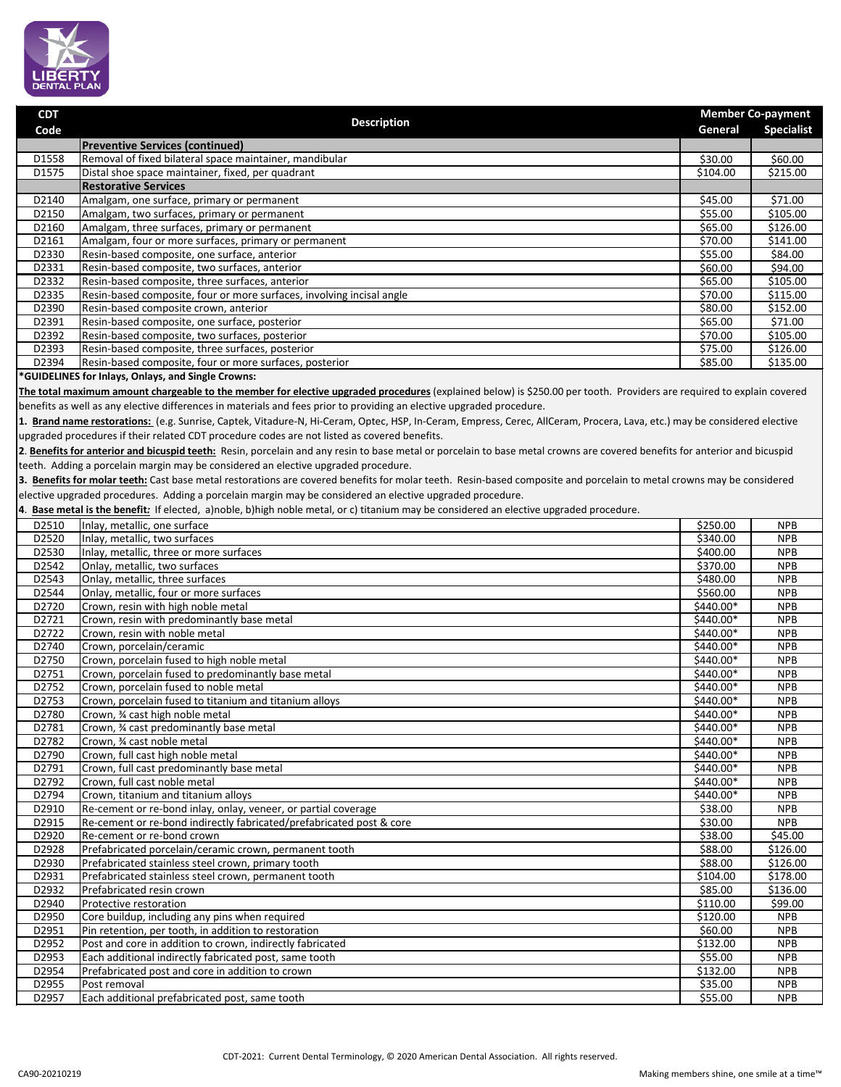

**CDT**

| Code           | <b>Description</b>                                                                                                                                                         | General                | <b>Specialist</b>        |
|----------------|----------------------------------------------------------------------------------------------------------------------------------------------------------------------------|------------------------|--------------------------|
|                | <b>Preventive Services (continued)</b>                                                                                                                                     |                        |                          |
| D1558          | Removal of fixed bilateral space maintainer, mandibular                                                                                                                    | \$30.00                | \$60.00                  |
| D1575          | Distal shoe space maintainer, fixed, per quadrant                                                                                                                          | \$104.00               | \$215.00                 |
|                | <b>Restorative Services</b>                                                                                                                                                |                        |                          |
| D2140          | Amalgam, one surface, primary or permanent                                                                                                                                 | \$45.00                | \$71.00                  |
| D2150          | Amalgam, two surfaces, primary or permanent                                                                                                                                | \$55.00                | \$105.00                 |
| D2160          | Amalgam, three surfaces, primary or permanent                                                                                                                              | \$65.00                | \$126.00                 |
| D2161          | Amalgam, four or more surfaces, primary or permanent                                                                                                                       | \$70.00                | \$141.00                 |
| D2330          | Resin-based composite, one surface, anterior                                                                                                                               | \$55.00                | \$84.00                  |
| D2331          | Resin-based composite, two surfaces, anterior                                                                                                                              | \$60.00                | \$94.00                  |
| D2332<br>D2335 | Resin-based composite, three surfaces, anterior<br>Resin-based composite, four or more surfaces, involving incisal angle                                                   | \$65.00<br>\$70.00     | \$105.00<br>\$115.00     |
| D2390          | Resin-based composite crown, anterior                                                                                                                                      | \$80.00                | \$152.00                 |
| D2391          | Resin-based composite, one surface, posterior                                                                                                                              | \$65.00                | \$71.00                  |
| D2392          | Resin-based composite, two surfaces, posterior                                                                                                                             | \$70.00                | \$105.00                 |
| D2393          | Resin-based composite, three surfaces, posterior                                                                                                                           | \$75.00                | \$126.00                 |
| D2394          | Resin-based composite, four or more surfaces, posterior                                                                                                                    | \$85.00                | \$135.00                 |
|                | *GUIDELINES for Inlays, Onlays, and Single Crowns:                                                                                                                         |                        |                          |
|                | The total maximum amount chargeable to the member for elective upgraded procedures (explained below) is \$250.00 per tooth. Providers are required to explain covered      |                        |                          |
|                | benefits as well as any elective differences in materials and fees prior to providing an elective upgraded procedure.                                                      |                        |                          |
|                | 1. Brand name restorations: (e.g. Sunrise, Captek, Vitadure-N, Hi-Ceram, Optec, HSP, In-Ceram, Empress, Cerec, AllCeram, Procera, Lava, etc.) may be considered elective   |                        |                          |
|                | upgraded procedures if their related CDT procedure codes are not listed as covered benefits.                                                                               |                        |                          |
|                | 2. Benefits for anterior and bicuspid teeth: Resin, porcelain and any resin to base metal or porcelain to base metal crowns are covered benefits for anterior and bicuspid |                        |                          |
|                | teeth. Adding a porcelain margin may be considered an elective upgraded procedure.                                                                                         |                        |                          |
|                | 3. Benefits for molar teeth: Cast base metal restorations are covered benefits for molar teeth. Resin-based composite and porcelain to metal crowns may be considered      |                        |                          |
|                | elective upgraded procedures. Adding a porcelain margin may be considered an elective upgraded procedure.                                                                  |                        |                          |
|                | 4. Base metal is the benefit: If elected, a)noble, b)high noble metal, or c) titanium may be considered an elective upgraded procedure.                                    |                        |                          |
|                |                                                                                                                                                                            |                        |                          |
| D2510<br>D2520 | Inlay, metallic, one surface<br>Inlay, metallic, two surfaces                                                                                                              | \$250.00<br>\$340.00   | <b>NPB</b><br><b>NPB</b> |
| D2530          | Inlay, metallic, three or more surfaces                                                                                                                                    | \$400.00               | <b>NPB</b>               |
| D2542          | Onlay, metallic, two surfaces                                                                                                                                              | \$370.00               | <b>NPB</b>               |
| D2543          | Onlay, metallic, three surfaces                                                                                                                                            | \$480.00               | <b>NPB</b>               |
| D2544          | Onlay, metallic, four or more surfaces                                                                                                                                     | \$560.00               | <b>NPB</b>               |
| D2720          | Crown, resin with high noble metal                                                                                                                                         | \$440.00*              | <b>NPB</b>               |
| D2721          | Crown, resin with predominantly base metal                                                                                                                                 | \$440.00*              | <b>NPB</b>               |
| D2722          | Crown, resin with noble metal                                                                                                                                              | $$440.00*$             | <b>NPB</b>               |
| D2740          | Crown, porcelain/ceramic                                                                                                                                                   | \$440.00*              | <b>NPB</b>               |
| D2750          | Crown, porcelain fused to high noble metal                                                                                                                                 | \$440.00*              | <b>NPB</b>               |
| D2751          | Crown, porcelain fused to predominantly base metal                                                                                                                         | \$440.00*              | <b>NPB</b>               |
| D2752          | Crown, porcelain fused to noble metal                                                                                                                                      | \$440.00*              | <b>NPB</b>               |
| D2753          | Crown, porcelain fused to titanium and titanium alloys                                                                                                                     | \$440.00*              | <b>NPB</b>               |
| D2780          | Crown, 3⁄4 cast high noble metal                                                                                                                                           | $$440.00*$             | <b>NPB</b>               |
| D2781          | Crown, 34 cast predominantly base metal<br>Crown, 34 cast noble metal                                                                                                      | \$440.00*<br>\$440.00* | <b>NPB</b><br><b>NPB</b> |
| D2782<br>D2790 | Crown, full cast high noble metal                                                                                                                                          | \$440.00*              | <b>NPB</b>               |
| D2791          | Crown, full cast predominantly base metal                                                                                                                                  | \$440.00*              | <b>NPB</b>               |
| D2792          | Crown, full cast noble metal                                                                                                                                               | \$440.00*              | <b>NPB</b>               |
| D2794          | Crown, titanium and titanium alloys                                                                                                                                        | \$440.00*              | <b>NPB</b>               |
| D2910          | Re-cement or re-bond inlay, onlay, veneer, or partial coverage                                                                                                             | \$38.00                | <b>NPB</b>               |
| D2915          | Re-cement or re-bond indirectly fabricated/prefabricated post & core                                                                                                       | \$30.00                | <b>NPB</b>               |
| D2920          | Re-cement or re-bond crown                                                                                                                                                 | \$38.00                | \$45.00                  |
| D2928          | Prefabricated porcelain/ceramic crown, permanent tooth                                                                                                                     | \$88.00                | \$126.00                 |
| D2930          | Prefabricated stainless steel crown, primary tooth                                                                                                                         | \$88.00                | \$126.00                 |
| D2931          | Prefabricated stainless steel crown, permanent tooth                                                                                                                       | \$104.00               | \$178.00                 |
| D2932          | Prefabricated resin crown                                                                                                                                                  | \$85.00                | \$136.00                 |
| D2940          | Protective restoration                                                                                                                                                     | \$110.00               | \$99.00                  |
| D2950          | Core buildup, including any pins when required                                                                                                                             | \$120.00               | <b>NPB</b>               |
| D2951          | Pin retention, per tooth, in addition to restoration                                                                                                                       | \$60.00                | <b>NPB</b>               |
| D2952<br>D2953 | Post and core in addition to crown, indirectly fabricated<br>Each additional indirectly fabricated post, same tooth                                                        | \$132.00<br>\$55.00    | <b>NPB</b><br><b>NPB</b> |
| D2954          | Prefabricated post and core in addition to crown                                                                                                                           | \$132.00               | <b>NPB</b>               |
| D2955          | Post removal                                                                                                                                                               | \$35.00                | <b>NPB</b>               |
| D2957          | Each additional prefabricated post, same tooth                                                                                                                             | \$55.00                | <b>NPB</b>               |
|                |                                                                                                                                                                            |                        |                          |
|                |                                                                                                                                                                            |                        |                          |

 **Member Co-payment**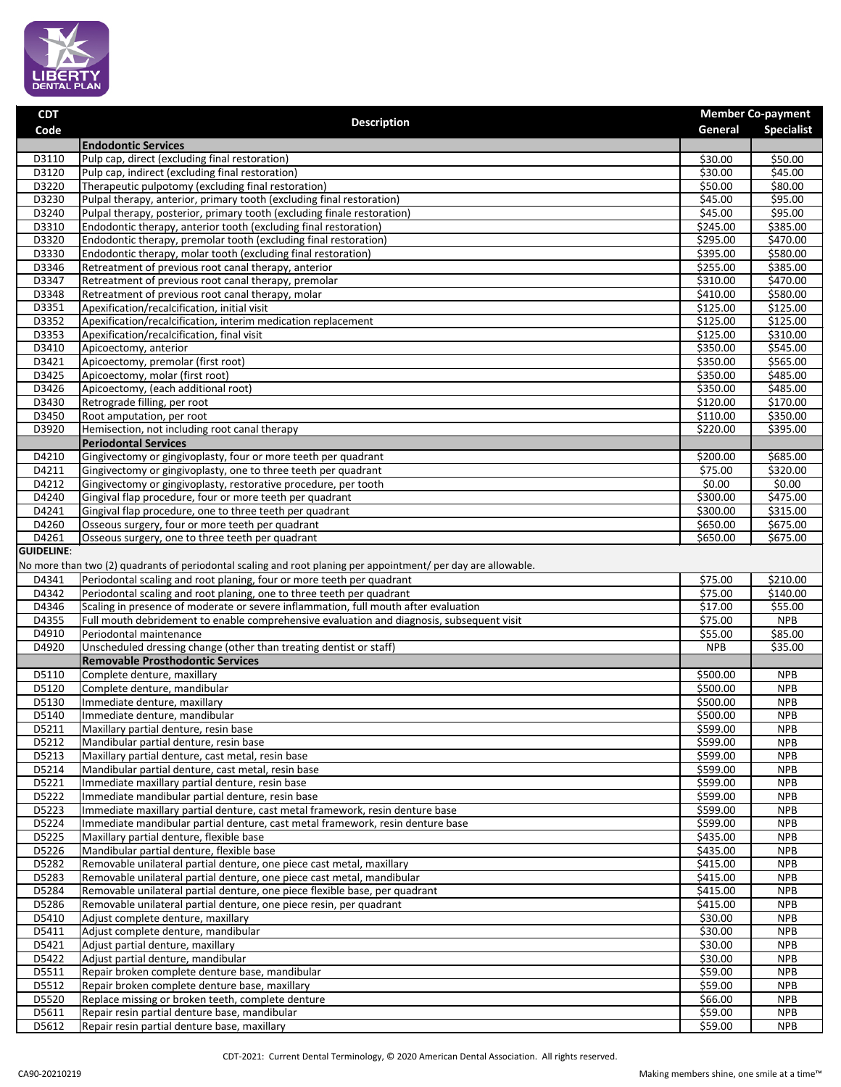

| <b>CDT</b>                 | <b>Description</b>                                                                                                                                                                      |                      | <b>Member Co-payment</b> |
|----------------------------|-----------------------------------------------------------------------------------------------------------------------------------------------------------------------------------------|----------------------|--------------------------|
| Code                       |                                                                                                                                                                                         | General              | <b>Specialist</b>        |
|                            | <b>Endodontic Services</b>                                                                                                                                                              |                      |                          |
| D3110                      | Pulp cap, direct (excluding final restoration)                                                                                                                                          | \$30.00              | \$50.00                  |
| D3120<br>D3220             | Pulp cap, indirect (excluding final restoration)<br>Therapeutic pulpotomy (excluding final restoration)                                                                                 | \$30.00<br>\$50.00   | \$45.00<br>\$80.00       |
| D3230                      | Pulpal therapy, anterior, primary tooth (excluding final restoration)                                                                                                                   | \$45.00              | \$95.00                  |
| D3240                      | Pulpal therapy, posterior, primary tooth (excluding finale restoration)                                                                                                                 | \$45.00              | \$95.00                  |
| D3310                      | Endodontic therapy, anterior tooth (excluding final restoration)                                                                                                                        | \$245.00             | \$385.00                 |
| D3320                      | Endodontic therapy, premolar tooth (excluding final restoration)                                                                                                                        | \$295.00             | \$470.00                 |
| D3330                      | Endodontic therapy, molar tooth (excluding final restoration)                                                                                                                           | \$395.00             | \$580.00                 |
| D3346                      | Retreatment of previous root canal therapy, anterior                                                                                                                                    | \$255.00             | \$385.00                 |
| D3347                      | Retreatment of previous root canal therapy, premolar                                                                                                                                    | \$310.00             | \$470.00                 |
| D3348                      | Retreatment of previous root canal therapy, molar                                                                                                                                       | \$410.00             | \$580.00                 |
| D3351                      | Apexification/recalcification, initial visit                                                                                                                                            | \$125.00             | \$125.00                 |
| D3352                      | Apexification/recalcification, interim medication replacement                                                                                                                           | \$125.00             | \$125.00                 |
| D3353                      | Apexification/recalcification, final visit                                                                                                                                              | \$125.00             | \$310.00                 |
| D3410                      | Apicoectomy, anterior<br>Apicoectomy, premolar (first root)                                                                                                                             | \$350.00<br>\$350.00 | \$545.00                 |
| D3421<br>D3425             | Apicoectomy, molar (first root)                                                                                                                                                         | \$350.00             | \$565.00<br>\$485.00     |
| D3426                      | Apicoectomy, (each additional root)                                                                                                                                                     | \$350.00             | \$485.00                 |
| D3430                      | Retrograde filling, per root                                                                                                                                                            | \$120.00             | \$170.00                 |
| D3450                      | Root amputation, per root                                                                                                                                                               | \$110.00             | \$350.00                 |
| D3920                      | Hemisection, not including root canal therapy                                                                                                                                           | \$220.00             | \$395.00                 |
|                            | <b>Periodontal Services</b>                                                                                                                                                             |                      |                          |
| D4210                      | Gingivectomy or gingivoplasty, four or more teeth per quadrant                                                                                                                          | \$200.00             | \$685.00                 |
| D4211                      | Gingivectomy or gingivoplasty, one to three teeth per quadrant                                                                                                                          | 575.00               | \$320.00                 |
| D4212                      | Gingivectomy or gingivoplasty, restorative procedure, per tooth                                                                                                                         | $\overline{50.00}$   | \$0.00                   |
| D4240                      | Gingival flap procedure, four or more teeth per quadrant                                                                                                                                | \$300.00             | \$475.00                 |
| D4241                      | Gingival flap procedure, one to three teeth per quadrant                                                                                                                                | \$300.00             | \$315.00                 |
| D4260                      | Osseous surgery, four or more teeth per quadrant                                                                                                                                        | \$650.00             | \$675.00                 |
| D4261<br><b>GUIDELINE:</b> | Osseous surgery, one to three teeth per quadrant                                                                                                                                        | \$650.00             | \$675.00                 |
|                            |                                                                                                                                                                                         |                      |                          |
| D4341                      | No more than two (2) quadrants of periodontal scaling and root planing per appointment/ per day are allowable.<br>Periodontal scaling and root planing, four or more teeth per quadrant | \$75.00              | \$210.00                 |
| D4342                      | Periodontal scaling and root planing, one to three teeth per quadrant                                                                                                                   | \$75.00              | $\overline{$}140.00$     |
| D4346                      | Scaling in presence of moderate or severe inflammation, full mouth after evaluation                                                                                                     | \$17.00              | \$55.00                  |
| D4355                      | Full mouth debridement to enable comprehensive evaluation and diagnosis, subsequent visit                                                                                               | \$75.00              | <b>NPB</b>               |
| D4910                      | Periodontal maintenance                                                                                                                                                                 | \$55.00              | \$85.00                  |
| D4920                      | Unscheduled dressing change (other than treating dentist or staff)                                                                                                                      | <b>NPB</b>           | \$35.00                  |
|                            | <b>Removable Prosthodontic Services</b>                                                                                                                                                 |                      |                          |
| D5110                      | Complete denture, maxillary                                                                                                                                                             | \$500.00             | <b>NPB</b>               |
| D5120                      | Complete denture, mandibular                                                                                                                                                            | \$500.00             | <b>NPB</b>               |
| D5130                      | Immediate denture, maxillary                                                                                                                                                            | \$500.00             | <b>NPB</b>               |
| D5140                      | Immediate denture, mandibular                                                                                                                                                           | \$500.00             | <b>NPB</b>               |
| D5211                      | Maxillary partial denture, resin base                                                                                                                                                   | \$599.00             | <b>NPB</b>               |
| D5212                      | Mandibular partial denture, resin base                                                                                                                                                  | \$599.00             | <b>NPB</b>               |
| D5213                      | Maxillary partial denture, cast metal, resin base                                                                                                                                       | \$599.00             | <b>NPB</b>               |
| D5214<br>D5221             | Mandibular partial denture, cast metal, resin base<br>Immediate maxillary partial denture, resin base                                                                                   | \$599.00<br>\$599.00 | <b>NPB</b><br><b>NPB</b> |
| D5222                      | Immediate mandibular partial denture, resin base                                                                                                                                        | \$599.00             | <b>NPB</b>               |
| D5223                      | Immediate maxillary partial denture, cast metal framework, resin denture base                                                                                                           | \$599.00             | <b>NPB</b>               |
| D5224                      | Immediate mandibular partial denture, cast metal framework, resin denture base                                                                                                          | \$599.00             | <b>NPB</b>               |
| D5225                      | Maxillary partial denture, flexible base                                                                                                                                                | \$435.00             | <b>NPB</b>               |
| D5226                      | Mandibular partial denture, flexible base                                                                                                                                               | \$435.00             | <b>NPB</b>               |
| D5282                      | Removable unilateral partial denture, one piece cast metal, maxillary                                                                                                                   | \$415.00             | <b>NPB</b>               |
| D5283                      | Removable unilateral partial denture, one piece cast metal, mandibular                                                                                                                  | \$415.00             | <b>NPB</b>               |
| D5284                      | Removable unilateral partial denture, one piece flexible base, per quadrant                                                                                                             | \$415.00             | <b>NPB</b>               |
| D5286                      | Removable unilateral partial denture, one piece resin, per quadrant                                                                                                                     | \$415.00             | <b>NPB</b>               |
| D5410                      | Adjust complete denture, maxillary                                                                                                                                                      | \$30.00              | <b>NPB</b>               |
| D5411                      | Adjust complete denture, mandibular                                                                                                                                                     | \$30.00              | <b>NPB</b>               |
| D5421                      | Adjust partial denture, maxillary                                                                                                                                                       | \$30.00              | <b>NPB</b>               |
| D5422<br>D5511             | Adjust partial denture, mandibular                                                                                                                                                      | \$30.00              | <b>NPB</b>               |
| D5512                      | Repair broken complete denture base, mandibular<br>Repair broken complete denture base, maxillary                                                                                       | \$59.00<br>\$59.00   | <b>NPB</b><br><b>NPB</b> |
| D5520                      | Replace missing or broken teeth, complete denture                                                                                                                                       | \$66.00              | <b>NPB</b>               |
| D5611                      | Repair resin partial denture base, mandibular                                                                                                                                           | \$59.00              | <b>NPB</b>               |
| D5612                      | Repair resin partial denture base, maxillary                                                                                                                                            | \$59.00              | <b>NPB</b>               |
|                            |                                                                                                                                                                                         |                      |                          |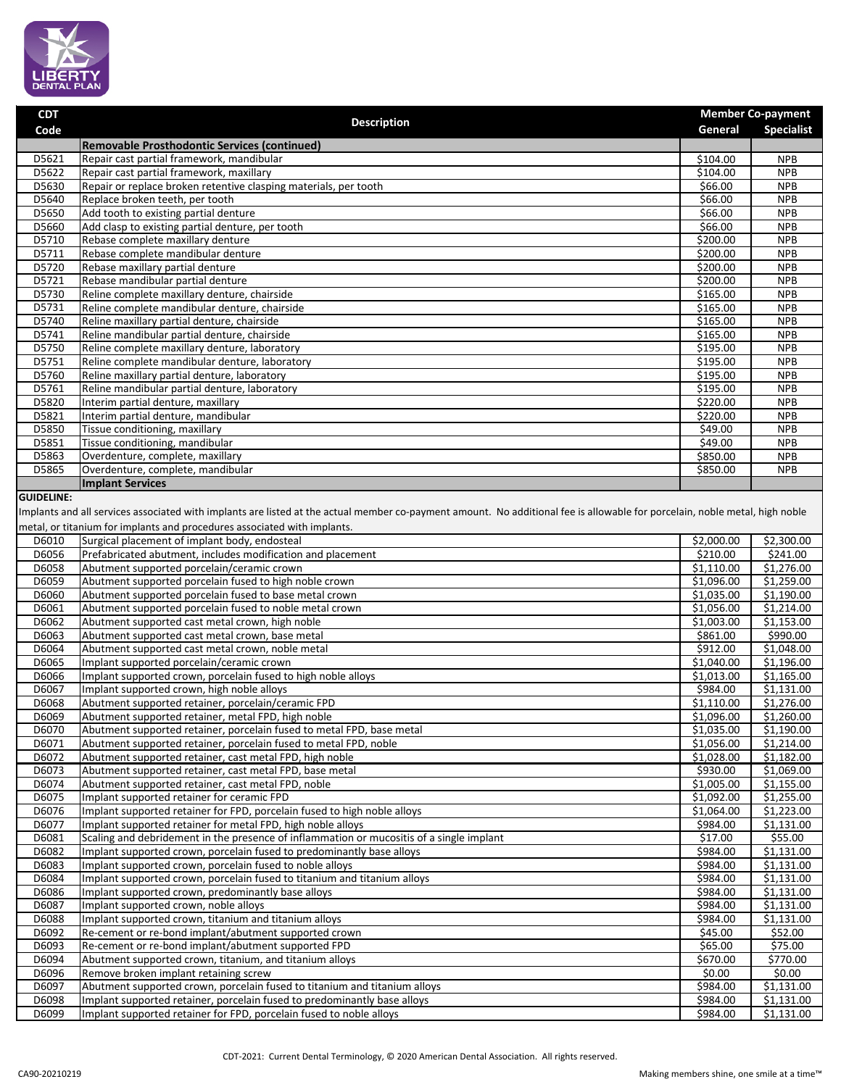

| <b>CDT</b>        |                                                                                                                                                                             |                        | <b>Member Co-payment</b> |  |
|-------------------|-----------------------------------------------------------------------------------------------------------------------------------------------------------------------------|------------------------|--------------------------|--|
| Code              | <b>Description</b>                                                                                                                                                          | General                | <b>Specialist</b>        |  |
|                   | Removable Prosthodontic Services (continued)                                                                                                                                |                        |                          |  |
| D5621             | Repair cast partial framework, mandibular                                                                                                                                   | 5104.00                | <b>NPB</b>               |  |
| D5622             | Repair cast partial framework, maxillary                                                                                                                                    | 5104.00                | <b>NPB</b>               |  |
| D5630             | Repair or replace broken retentive clasping materials, per tooth                                                                                                            | \$66.00                | <b>NPB</b>               |  |
| D5640             | Replace broken teeth, per tooth                                                                                                                                             | \$66.00                | <b>NPB</b>               |  |
| D5650             | Add tooth to existing partial denture                                                                                                                                       | 566.00                 | <b>NPB</b>               |  |
| D5660             | Add clasp to existing partial denture, per tooth                                                                                                                            | 566.00                 | <b>NPB</b>               |  |
| D5710             | Rebase complete maxillary denture                                                                                                                                           | \$200.00               | <b>NPB</b>               |  |
| D5711             | Rebase complete mandibular denture                                                                                                                                          | \$200.00               | <b>NPB</b>               |  |
| D5720             | Rebase maxillary partial denture                                                                                                                                            | \$200.00               | <b>NPB</b>               |  |
| D5721             | Rebase mandibular partial denture                                                                                                                                           | \$200.00               | <b>NPB</b>               |  |
| D5730             | Reline complete maxillary denture, chairside                                                                                                                                | \$165.00               | <b>NPB</b>               |  |
| D5731             | Reline complete mandibular denture, chairside                                                                                                                               | \$165.00               | <b>NPB</b>               |  |
| D5740             | Reline maxillary partial denture, chairside                                                                                                                                 | \$165.00               | <b>NPB</b>               |  |
| D5741             | Reline mandibular partial denture, chairside                                                                                                                                | $\overline{$}165.00$   | <b>NPB</b>               |  |
| D5750             | Reline complete maxillary denture, laboratory                                                                                                                               | \$195.00               | <b>NPB</b>               |  |
| D5751             | Reline complete mandibular denture, laboratory                                                                                                                              | \$195.00               | <b>NPB</b>               |  |
| D5760             | Reline maxillary partial denture, laboratory                                                                                                                                | \$195.00               | <b>NPB</b>               |  |
| D5761             | Reline mandibular partial denture, laboratory                                                                                                                               | \$195.00               | <b>NPB</b>               |  |
| D5820             | Interim partial denture, maxillary                                                                                                                                          | \$220.00               | <b>NPB</b>               |  |
| D5821             | Interim partial denture, mandibular                                                                                                                                         | 5220.00                | <b>NPB</b>               |  |
| D5850             | Tissue conditioning, maxillary                                                                                                                                              | \$49.00                | <b>NPB</b>               |  |
| D5851             | Tissue conditioning, mandibular                                                                                                                                             | \$49.00                | <b>NPB</b>               |  |
| D5863             | Overdenture, complete, maxillary                                                                                                                                            | \$850.00               | <b>NPB</b>               |  |
| D5865             | Overdenture, complete, mandibular                                                                                                                                           | \$850.00               | <b>NPB</b>               |  |
|                   | Implant Services                                                                                                                                                            |                        |                          |  |
| <b>GUIDELINE:</b> |                                                                                                                                                                             |                        |                          |  |
|                   | Implants and all services associated with implants are listed at the actual member co-payment amount. No additional fee is allowable for porcelain, noble metal, high noble |                        |                          |  |
|                   | metal, or titanium for implants and procedures associated with implants.                                                                                                    |                        |                          |  |
| D6010             | Surgical placement of implant body, endosteal                                                                                                                               | \$2,000.00             | \$2,300.00               |  |
| D6056             | Prefabricated abutment, includes modification and placement                                                                                                                 | \$210.00               | \$241.00                 |  |
| D6058             | Abutment supported porcelain/ceramic crown                                                                                                                                  | \$1,110.00             | \$1,276.00               |  |
| D6059             | Abutment supported porcelain fused to high noble crown                                                                                                                      | \$1,096.00             | \$1,259.00               |  |
| D6060             | Abutment supported porcelain fused to base metal crown                                                                                                                      | \$1,035.00             | \$1,190.00               |  |
| D6061             | Abutment supported porcelain fused to noble metal crown                                                                                                                     | \$1,056.00             | \$1,214.00               |  |
| D6062             | Abutment supported cast metal crown, high noble                                                                                                                             | $\overline{$}1,003.00$ | \$1,153.00               |  |
| D6063             | Abutment supported cast metal crown, base metal                                                                                                                             | \$861.00               | \$990.00                 |  |
|                   |                                                                                                                                                                             |                        |                          |  |

| <b>DPOPT</b> | TAbutment supported porcelain fused to noble metal crown                                 | \$1,056.00 | 51,214.00  |
|--------------|------------------------------------------------------------------------------------------|------------|------------|
| D6062        | Abutment supported cast metal crown, high noble                                          | \$1,003.00 | \$1,153.00 |
| D6063        | Abutment supported cast metal crown, base metal                                          | \$861.00   | \$990.00   |
| D6064        | Abutment supported cast metal crown, noble metal                                         | \$912.00   | \$1,048.00 |
| D6065        | Implant supported porcelain/ceramic crown                                                | \$1,040.00 | \$1,196.00 |
| D6066        | Implant supported crown, porcelain fused to high noble alloys                            | \$1,013.00 | \$1,165.00 |
| D6067        | Implant supported crown, high noble alloys                                               | \$984.00   | \$1,131.00 |
| D6068        | Abutment supported retainer, porcelain/ceramic FPD                                       | \$1,110.00 | \$1,276.00 |
| D6069        | Abutment supported retainer, metal FPD, high noble                                       | \$1,096.00 | \$1,260.00 |
| D6070        | Abutment supported retainer, porcelain fused to metal FPD, base metal                    | \$1,035.00 | \$1,190.00 |
| D6071        | Abutment supported retainer, porcelain fused to metal FPD, noble                         | \$1,056.00 | \$1,214.00 |
| D6072        | Abutment supported retainer, cast metal FPD, high noble                                  | \$1,028.00 | \$1,182.00 |
| D6073        | Abutment supported retainer, cast metal FPD, base metal                                  | \$930.00   | \$1,069.00 |
| D6074        | Abutment supported retainer, cast metal FPD, noble                                       | \$1,005.00 | \$1,155.00 |
| D6075        | Implant supported retainer for ceramic FPD                                               | \$1,092.00 | \$1,255.00 |
| D6076        | Implant supported retainer for FPD, porcelain fused to high noble alloys                 | \$1,064.00 | \$1,223.00 |
| D6077        | Implant supported retainer for metal FPD, high noble alloys                              | \$984.00   | \$1,131.00 |
| D6081        | Scaling and debridement in the presence of inflammation or mucositis of a single implant | \$17.00    | \$55.00    |
| D6082        | Implant supported crown, porcelain fused to predominantly base alloys                    | \$984.00   | \$1,131.00 |
| D6083        | Implant supported crown, porcelain fused to noble alloys                                 | \$984.00   | \$1,131.00 |
| D6084        | Implant supported crown, porcelain fused to titanium and titanium alloys                 | \$984.00   | \$1,131.00 |
| D6086        | Implant supported crown, predominantly base alloys                                       | \$984.00   | \$1,131.00 |
| D6087        | Implant supported crown, noble alloys                                                    | \$984.00   | \$1,131.00 |
| D6088        | Implant supported crown, titanium and titanium alloys                                    | \$984.00   | \$1,131.00 |
| D6092        | Re-cement or re-bond implant/abutment supported crown                                    | \$45.00    | \$52.00    |
| D6093        | Re-cement or re-bond implant/abutment supported FPD                                      | \$65.00    | \$75.00    |
| D6094        | Abutment supported crown, titanium, and titanium alloys                                  | \$670.00   | \$770.00   |
| D6096        | Remove broken implant retaining screw                                                    | \$0.00     | \$0.00     |
| D6097        | Abutment supported crown, porcelain fused to titanium and titanium alloys                | \$984.00   | \$1,131.00 |
| D6098        | Implant supported retainer, porcelain fused to predominantly base alloys                 | \$984.00   | \$1,131.00 |
| D6099        | Implant supported retainer for FPD, porcelain fused to noble alloys                      | \$984.00   | \$1,131.00 |
|              |                                                                                          |            |            |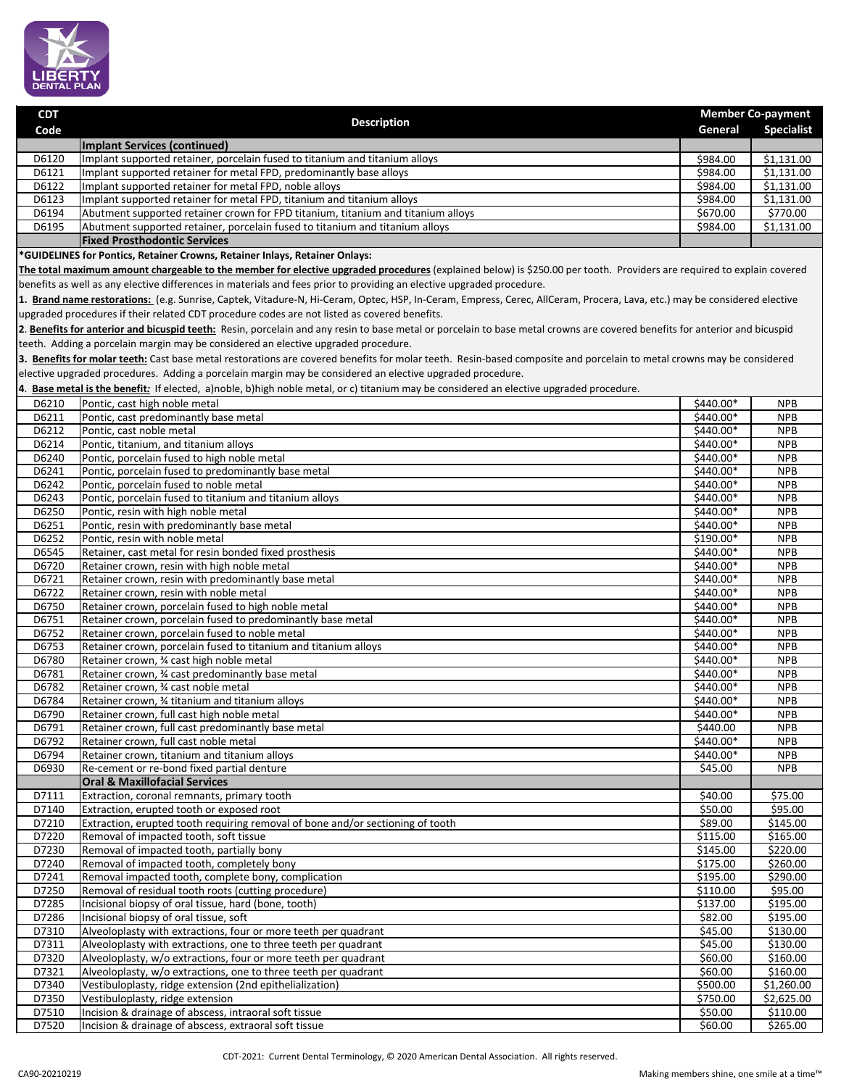

| <b>CDT</b> | <b>Description</b>                                                               | <b>Member Co-payment</b> |                   |
|------------|----------------------------------------------------------------------------------|--------------------------|-------------------|
| Code       |                                                                                  | General                  | <b>Specialist</b> |
|            | Implant Services (continued)                                                     |                          |                   |
| D6120      | Implant supported retainer, porcelain fused to titanium and titanium alloys      | \$984.00                 | \$1,131.00        |
| D6121      | Implant supported retainer for metal FPD, predominantly base alloys              | \$984.00                 | \$1,131.00        |
| D6122      | Implant supported retainer for metal FPD, noble alloys                           | \$984.00                 | \$1,131.00        |
| D6123      | Implant supported retainer for metal FPD, titanium and titanium alloys           | \$984.00                 | \$1,131.00        |
| D6194      | Abutment supported retainer crown for FPD titanium, titanium and titanium alloys | \$670.00                 | \$770.00          |
| D6195      | Abutment supported retainer, porcelain fused to titanium and titanium alloys     | \$984.00                 | \$1,131.00        |
|            | <b>Fixed Prosthodontic Services</b>                                              |                          |                   |

**\*GUIDELINES for Pontics, Retainer Crowns, Retainer Inlays, Retainer Onlays:**

**The total maximum amount chargeable to the member for elective upgraded procedures** (explained below) is \$250.00 per tooth. Providers are required to explain covered benefits as well as any elective differences in materials and fees prior to providing an elective upgraded procedure.

**1. Brand name restorations:** (e.g. Sunrise, Captek, Vitadure-N, Hi-Ceram, Optec, HSP, In-Ceram, Empress, Cerec, AllCeram, Procera, Lava, etc.) may be considered elective upgraded procedures if their related CDT procedure codes are not listed as covered benefits.

**2**. **Benefits for anterior and bicuspid teeth:** Resin, porcelain and any resin to base metal or porcelain to base metal crowns are covered benefits for anterior and bicuspid teeth. Adding a porcelain margin may be considered an elective upgraded procedure.

**3. Benefits for molar teeth:** Cast base metal restorations are covered benefits for molar teeth. Resin-based composite and porcelain to metal crowns may be considered elective upgraded procedures. Adding a porcelain margin may be considered an elective upgraded procedure.

**4**. **Base metal is the benefit***:* If elected, a)noble, b)high noble metal, or c) titanium may be considered an elective upgraded procedure.

| D6210 | Pontic, cast high noble metal                                                  | \$440.00*           | <b>NPB</b> |
|-------|--------------------------------------------------------------------------------|---------------------|------------|
| D6211 | Pontic, cast predominantly base metal                                          | \$440.00*           | <b>NPB</b> |
| D6212 | Pontic, cast noble metal                                                       | \$440.00*           | <b>NPB</b> |
| D6214 | Pontic, titanium, and titanium alloys                                          | \$440.00*           | <b>NPB</b> |
| D6240 | Pontic, porcelain fused to high noble metal                                    | \$440.00*           | <b>NPB</b> |
| D6241 | Pontic, porcelain fused to predominantly base metal                            | \$440.00*           | <b>NPB</b> |
| D6242 | Pontic, porcelain fused to noble metal                                         | \$440.00*           | <b>NPB</b> |
| D6243 | Pontic, porcelain fused to titanium and titanium alloys                        | \$440.00*           | <b>NPB</b> |
| D6250 | Pontic, resin with high noble metal                                            | \$440.00*           | <b>NPB</b> |
| D6251 | Pontic, resin with predominantly base metal                                    | \$440.00*           | <b>NPB</b> |
| D6252 | Pontic, resin with noble metal                                                 | $$190.00*$          | <b>NPB</b> |
| D6545 | Retainer, cast metal for resin bonded fixed prosthesis                         | \$440.00*           | <b>NPB</b> |
| D6720 | Retainer crown, resin with high noble metal                                    | \$440.00*           | <b>NPB</b> |
| D6721 | Retainer crown, resin with predominantly base metal                            | \$440.00*           | <b>NPB</b> |
| D6722 | Retainer crown, resin with noble metal                                         | $$440.00*$          | <b>NPB</b> |
| D6750 | Retainer crown, porcelain fused to high noble metal                            | \$440.00*           | <b>NPB</b> |
| D6751 | Retainer crown, porcelain fused to predominantly base metal                    | \$440.00*           | <b>NPB</b> |
| D6752 | Retainer crown, porcelain fused to noble metal                                 | \$440.00*           | <b>NPB</b> |
| D6753 | Retainer crown, porcelain fused to titanium and titanium alloys                | \$440.00*           | <b>NPB</b> |
| D6780 | Retainer crown, 3⁄4 cast high noble metal                                      | \$440.00*           | <b>NPB</b> |
| D6781 | Retainer crown, 3⁄4 cast predominantly base metal                              | $$440.00*$          | <b>NPB</b> |
| D6782 | Retainer crown, % cast noble metal                                             | \$440.00*           | <b>NPB</b> |
| D6784 | Retainer crown, 34 titanium and titanium alloys                                | \$440.00*           | <b>NPB</b> |
| D6790 | Retainer crown, full cast high noble metal                                     | $$440.00*$          | <b>NPB</b> |
| D6791 | Retainer crown, full cast predominantly base metal                             | \$440.00            | <b>NPB</b> |
| D6792 | Retainer crown, full cast noble metal                                          | \$440.00*           | <b>NPB</b> |
| D6794 | Retainer crown, titanium and titanium alloys                                   | \$440.00*           | <b>NPB</b> |
| D6930 | Re-cement or re-bond fixed partial denture                                     | \$45.00             | <b>NPB</b> |
|       | <b>Oral &amp; Maxillofacial Services</b>                                       |                     |            |
| D7111 | Extraction, coronal remnants, primary tooth                                    | $\overline{$}40.00$ | \$75.00    |
| D7140 | Extraction, erupted tooth or exposed root                                      | \$50.00             | \$95.00    |
| D7210 | Extraction, erupted tooth requiring removal of bone and/or sectioning of tooth | \$89.00             | \$145.00   |
| D7220 | Removal of impacted tooth, soft tissue                                         | \$115.00            | \$165.00   |
| D7230 | Removal of impacted tooth, partially bony                                      | \$145.00            | \$220.00   |
| D7240 | Removal of impacted tooth, completely bony                                     | \$175.00            | \$260.00   |
| D7241 | Removal impacted tooth, complete bony, complication                            | \$195.00            | \$290.00   |
| D7250 | Removal of residual tooth roots (cutting procedure)                            | \$110.00            | \$95.00    |
| D7285 | Incisional biopsy of oral tissue, hard (bone, tooth)                           | \$137.00            | \$195.00   |
| D7286 | Incisional biopsy of oral tissue, soft                                         | \$82.00             | \$195.00   |
| D7310 | Alveoloplasty with extractions, four or more teeth per quadrant                | \$45.00             | \$130.00   |
| D7311 | Alveoloplasty with extractions, one to three teeth per quadrant                | \$45.00             | \$130.00   |
| D7320 | Alveoloplasty, w/o extractions, four or more teeth per quadrant                | \$60.00             | \$160.00   |
| D7321 | Alveoloplasty, w/o extractions, one to three teeth per quadrant                | \$60.00             | \$160.00   |
| D7340 | Vestibuloplasty, ridge extension (2nd epithelialization)                       | \$500.00            | \$1,260.00 |
| D7350 | Vestibuloplasty, ridge extension                                               | \$750.00            | \$2,625.00 |
| D7510 | Incision & drainage of abscess, intraoral soft tissue                          | \$50.00             | \$110.00   |
| D7520 | Incision & drainage of abscess, extraoral soft tissue                          | \$60.00             | \$265.00   |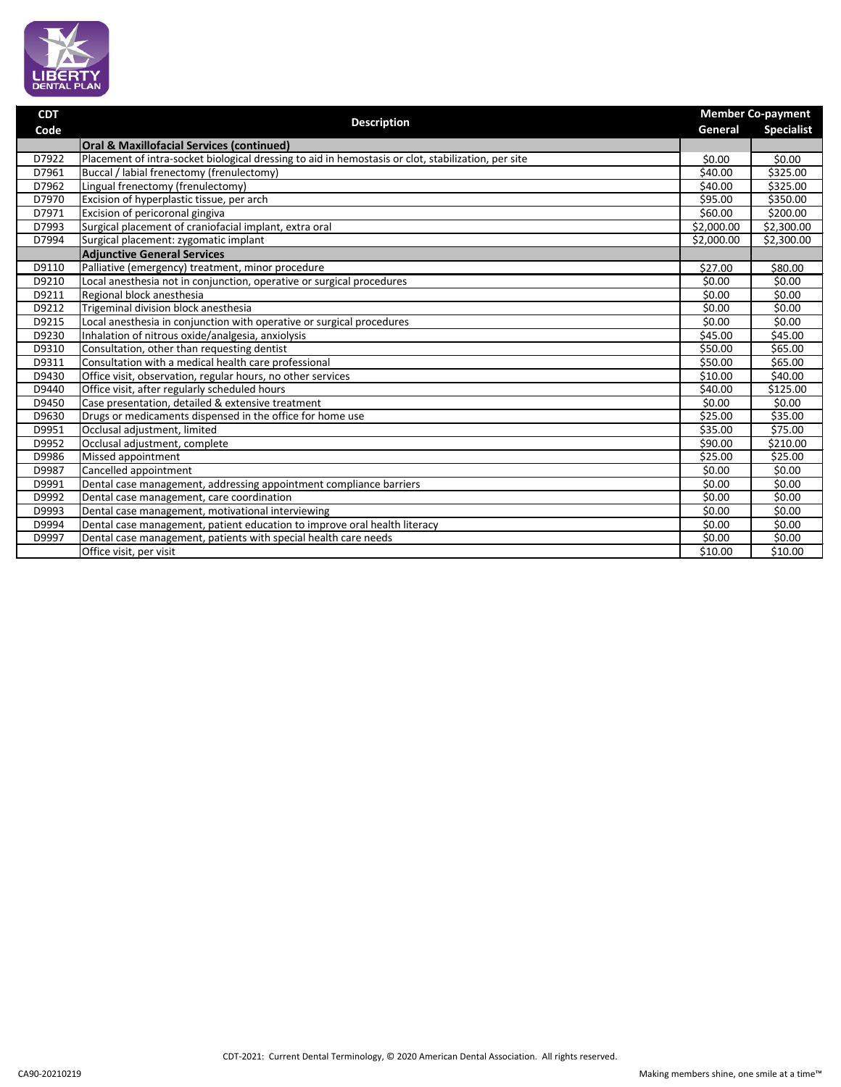

| <b>CDT</b> |                                                                                                     |                        | <b>Member Co-payment</b> |  |
|------------|-----------------------------------------------------------------------------------------------------|------------------------|--------------------------|--|
| Code       | <b>Description</b>                                                                                  | General                | <b>Specialist</b>        |  |
|            | <b>Oral &amp; Maxillofacial Services (continued)</b>                                                |                        |                          |  |
| D7922      | Placement of intra-socket biological dressing to aid in hemostasis or clot, stabilization, per site | \$0.00                 | \$0.00                   |  |
| D7961      | Buccal / labial frenectomy (frenulectomy)                                                           | \$40.00                | \$325.00                 |  |
| D7962      | Lingual frenectomy (frenulectomy)                                                                   | \$40.00                | \$325.00                 |  |
| D7970      | Excision of hyperplastic tissue, per arch                                                           | \$95.00                | \$350.00                 |  |
| D7971      | Excision of pericoronal gingiva                                                                     | \$60.00                | \$200.00                 |  |
| D7993      | Surgical placement of craniofacial implant, extra oral                                              | $\overline{$}2,000.00$ | \$2,300.00               |  |
| D7994      | Surgical placement: zygomatic implant                                                               | \$2,000.00             | \$2,300.00               |  |
|            | <b>Adjunctive General Services</b>                                                                  |                        |                          |  |
| D9110      | Palliative (emergency) treatment, minor procedure                                                   | \$27.00                | \$80.00                  |  |
| D9210      | Local anesthesia not in conjunction, operative or surgical procedures                               | \$0.00                 | \$0.00                   |  |
| D9211      | Regional block anesthesia                                                                           | \$0.00                 | \$0.00                   |  |
| D9212      | Trigeminal division block anesthesia                                                                | \$0.00                 | \$0.00                   |  |
| D9215      | Local anesthesia in conjunction with operative or surgical procedures                               | \$0.00                 | \$0.00                   |  |
| D9230      | Inhalation of nitrous oxide/analgesia, anxiolysis                                                   | \$45.00                | \$45.00                  |  |
| D9310      | Consultation, other than requesting dentist                                                         | \$50.00                | \$65.00                  |  |
| D9311      | Consultation with a medical health care professional                                                | \$50.00                | \$65.00                  |  |
| D9430      | Office visit, observation, regular hours, no other services                                         | \$10.00                | \$40.00                  |  |
| D9440      | Office visit, after regularly scheduled hours                                                       | \$40.00                | \$125.00                 |  |
| D9450      | Case presentation, detailed & extensive treatment                                                   | \$0.00                 | \$0.00                   |  |
| D9630      | Drugs or medicaments dispensed in the office for home use                                           | \$25.00                | \$35.00                  |  |
| D9951      | Occlusal adjustment, limited                                                                        | \$35.00                | \$75.00                  |  |
| D9952      | Occlusal adjustment, complete                                                                       | \$90.00                | \$210.00                 |  |
| D9986      | Missed appointment                                                                                  | $\overline{$}25.00$    | \$25.00                  |  |
| D9987      | Cancelled appointment                                                                               | \$0.00                 | \$0.00                   |  |
| D9991      | Dental case management, addressing appointment compliance barriers                                  | \$0.00                 | \$0.00                   |  |
| D9992      | Dental case management, care coordination                                                           | \$0.00                 | \$0.00                   |  |
| D9993      | Dental case management, motivational interviewing                                                   | \$0.00                 | \$0.00                   |  |
| D9994      | Dental case management, patient education to improve oral health literacy                           | \$0.00                 | \$0.00                   |  |
| D9997      | Dental case management, patients with special health care needs                                     | \$0.00                 | \$0.00                   |  |
|            | Office visit, per visit                                                                             | \$10.00                | \$10.00                  |  |

Making members shine, one smile at a time™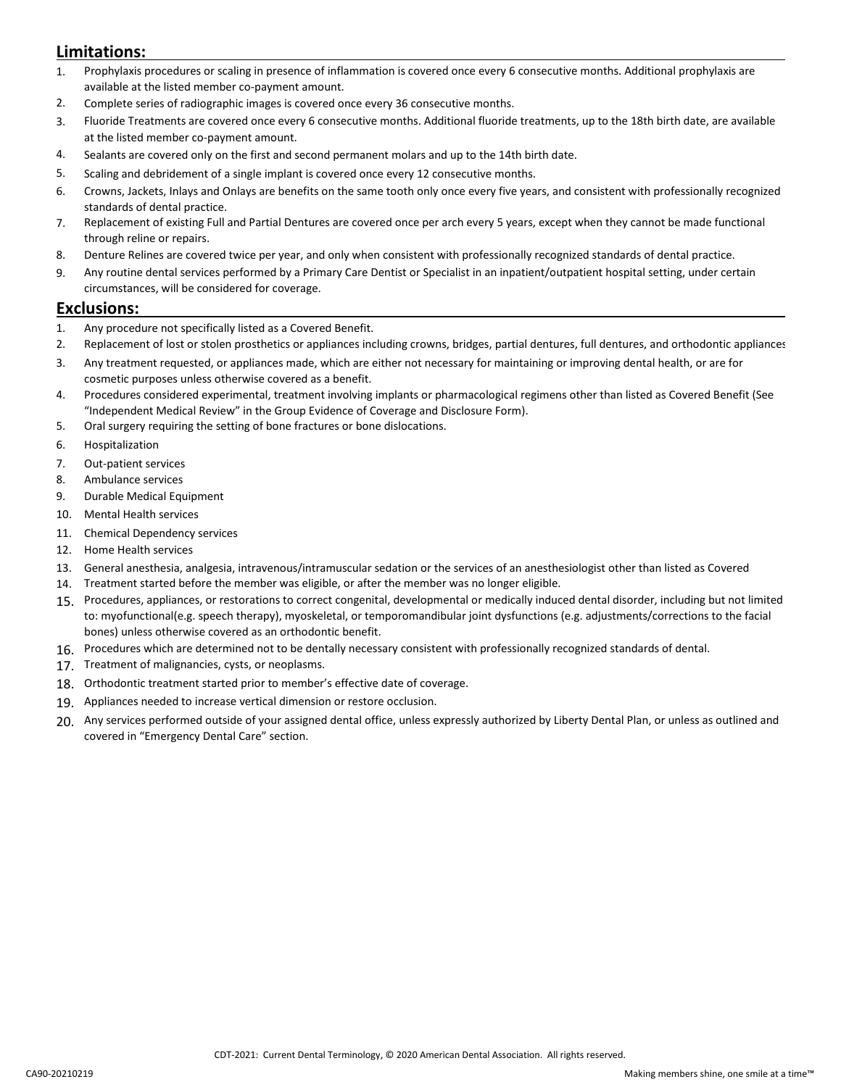## **Limitations:**

- 1. Prophylaxis procedures or scaling in presence of inflammation is covered once every 6 consecutive months. Additional prophylaxis are available at the listed member co-payment amount.
- 2. Complete series of radiographic images is covered once every 36 consecutive months.
- 3. Fluoride Treatments are covered once every 6 consecutive months. Additional fluoride treatments, up to the 18th birth date, are available at the listed member co-payment amount.
- 4. Sealants are covered only on the first and second permanent molars and up to the 14th birth date.
- 5. Scaling and debridement of a single implant is covered once every 12 consecutive months.
- 6. Crowns, Jackets, Inlays and Onlays are benefits on the same tooth only once every five years, and consistent with professionally recognized standards of dental practice.
- 7. Replacement of existing Full and Partial Dentures are covered once per arch every 5 years, except when they cannot be made functional through reline or repairs.
- 8. Denture Relines are covered twice per year, and only when consistent with professionally recognized standards of dental practice.
- 9. Any routine dental services performed by a Primary Care Dentist or Specialist in an inpatient/outpatient hospital setting, under certain circumstances, will be considered for coverage.

#### **Exclusions:**

- 1. Any procedure not specifically listed as a Covered Benefit.
- 2. Replacement of lost or stolen prosthetics or appliances including crowns, bridges, partial dentures, full dentures, and orthodontic appliances
- 3. Any treatment requested, or appliances made, which are either not necessary for maintaining or improving dental health, or are for cosmetic purposes unless otherwise covered as a benefit.
- 4. Procedures considered experimental, treatment involving implants or pharmacological regimens other than listed as Covered Benefit (See "Independent Medical Review" in the Group Evidence of Coverage and Disclosure Form).
- 5. Oral surgery requiring the setting of bone fractures or bone dislocations.
- 6. Hospitalization
- 7. Out-patient services
- 8. Ambulance services
- 9. Durable Medical Equipment
- 10. Mental Health services
- 11. Chemical Dependency services
- 12. Home Health services
- 13. General anesthesia, analgesia, intravenous/intramuscular sedation or the services of an anesthesiologist other than listed as Covered
- 14. Treatment started before the member was eligible, or after the member was no longer eligible.
- 15. Procedures, appliances, or restorations to correct congenital, developmental or medically induced dental disorder, including but not limited to: myofunctional(e.g. speech therapy), myoskeletal, or temporomandibular joint dysfunctions (e.g. adjustments/corrections to the facial bones) unless otherwise covered as an orthodontic benefit.
- 16. Procedures which are determined not to be dentally necessary consistent with professionally recognized standards of dental.
- 17. Treatment of malignancies, cysts, or neoplasms.
- 18. Orthodontic treatment started prior to member's effective date of coverage.
- 19. Appliances needed to increase vertical dimension or restore occlusion.
- 20. Any services performed outside of your assigned dental office, unless expressly authorized by Liberty Dental Plan, or unless as outlined and covered in "Emergency Dental Care" section.